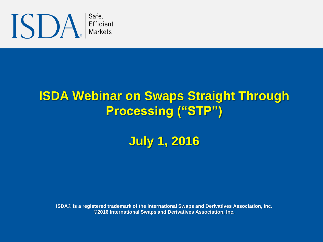

#### **ISDA Webinar on Swaps Straight Through Processing ("STP")**

**July 1, 2016**

**ISDA® is a registered trademark of the International Swaps and Derivatives Association, Inc. ©2016 International Swaps and Derivatives Association, Inc.**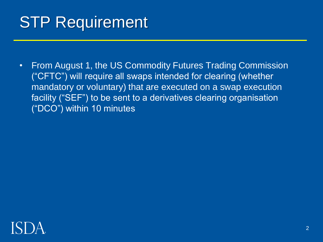### STP Requirement

• From August 1, the US Commodity Futures Trading Commission ("CFTC") will require all swaps intended for clearing (whether mandatory or voluntary) that are executed on a swap execution facility ("SEF") to be sent to a derivatives clearing organisation ("DCO") within 10 minutes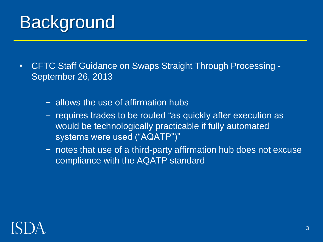# **Background**

- CFTC Staff Guidance on Swaps Straight Through Processing September 26, 2013
	- − allows the use of affirmation hubs
	- − requires trades to be routed "as quickly after execution as would be technologically practicable if fully automated systems were used ("AQATP")"
	- − notes that use of a third-party affirmation hub does not excuse compliance with the AQATP standard

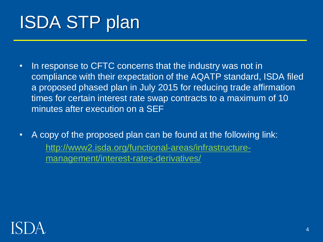# ISDA STP plan

- In response to CFTC concerns that the industry was not in compliance with their expectation of the AQATP standard, ISDA filed a proposed phased plan in July 2015 for reducing trade affirmation times for certain interest rate swap contracts to a maximum of 10 minutes after execution on a SEF
- A copy of the proposed plan can be found at the following link: [http://www2.isda.org/functional-areas/infrastructure](http://www2.isda.org/functional-areas/infrastructure-management/interest-rates-derivatives/)management/interest-rates-derivatives/

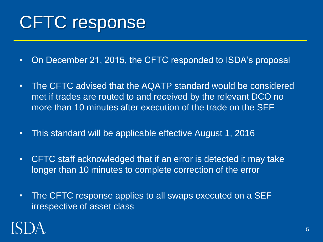# CFTC response

- On December 21, 2015, the CFTC responded to ISDA's proposal
- The CFTC advised that the AQATP standard would be considered met if trades are routed to and received by the relevant DCO no more than 10 minutes after execution of the trade on the SEF
- This standard will be applicable effective August 1, 2016
- CFTC staff acknowledged that if an error is detected it may take longer than 10 minutes to complete correction of the error
- The CFTC response applies to all swaps executed on a SEF irrespective of asset class

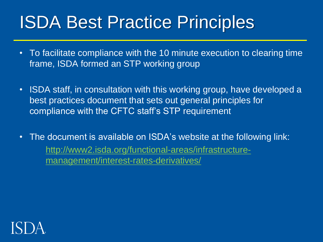# ISDA Best Practice Principles

- To facilitate compliance with the 10 minute execution to clearing time frame, ISDA formed an STP working group
- ISDA staff, in consultation with this working group, have developed a best practices document that sets out general principles for compliance with the CFTC staff's STP requirement
- The document is available on ISDA's website at the following link: [http://www2.isda.org/functional-areas/infrastructure](http://www2.isda.org/functional-areas/infrastructure-management/interest-rates-derivatives/)management/interest-rates-derivatives/